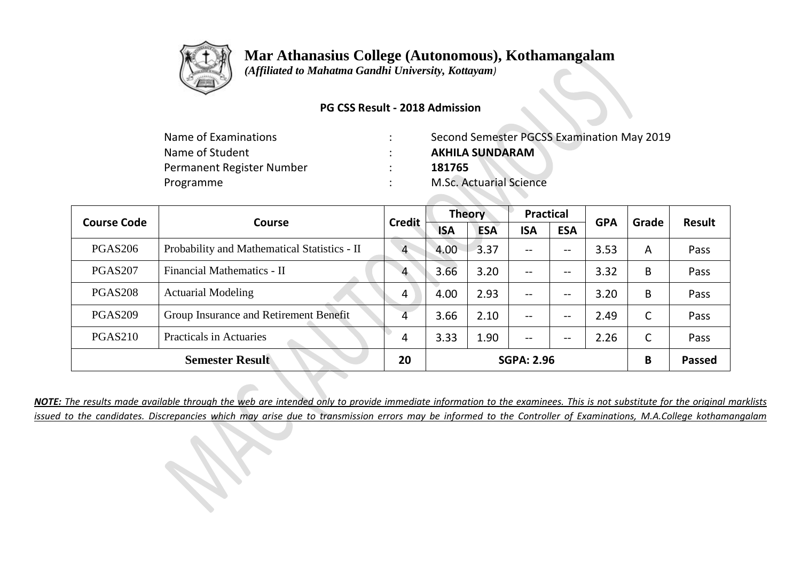

 *(Affiliated to Mahatma Gandhi University, Kottayam)*

### **PG CSS Result - 2018 Admission**

| Name of Examinations      | Second Semester PGCSS Examination May 2019 |
|---------------------------|--------------------------------------------|
| Name of Student           | <b>AKHILA SUNDARAM</b>                     |
| Permanent Register Number | 181765                                     |
| Programme                 | <b>M.Sc. Actuarial Science</b>             |

| <b>Course Code</b> |                                              | <b>Credit</b>  | <b>Theory</b> |            | <b>Practical</b>  |                                     | <b>GPA</b> | Grade | <b>Result</b> |
|--------------------|----------------------------------------------|----------------|---------------|------------|-------------------|-------------------------------------|------------|-------|---------------|
|                    | <b>Course</b>                                |                | <b>ISA</b>    | <b>ESA</b> | <b>ISA</b>        | <b>ESA</b>                          |            |       |               |
| <b>PGAS206</b>     | Probability and Mathematical Statistics - II | $\overline{4}$ | 4.00          | 3.37       | $- -$             | $\overline{\phantom{m}}$            | 3.53       | A     | Pass          |
| <b>PGAS207</b>     | Financial Mathematics - II                   | $\overline{4}$ | 3.66          | 3.20       | $- -$             | $\overline{\phantom{m}}$            | 3.32       | B     | Pass          |
| <b>PGAS208</b>     | <b>Actuarial Modeling</b>                    | 4              | 4.00          | 2.93       | $- -$             | $\hspace{0.04in}$ $\hspace{0.04in}$ | 3.20       | B     | Pass          |
| <b>PGAS209</b>     | Group Insurance and Retirement Benefit       | 4              | 3.66          | 2.10       | $- -$             | $\overline{\phantom{m}}$            | 2.49       | C     | Pass          |
| <b>PGAS210</b>     | <b>Practicals in Actuaries</b>               | 4              | 3.33          | 1.90       | $- -$             | --                                  | 2.26       | C     | Pass          |
|                    | <b>Semester Result</b>                       | 20             |               |            | <b>SGPA: 2.96</b> |                                     |            | B     | <b>Passed</b> |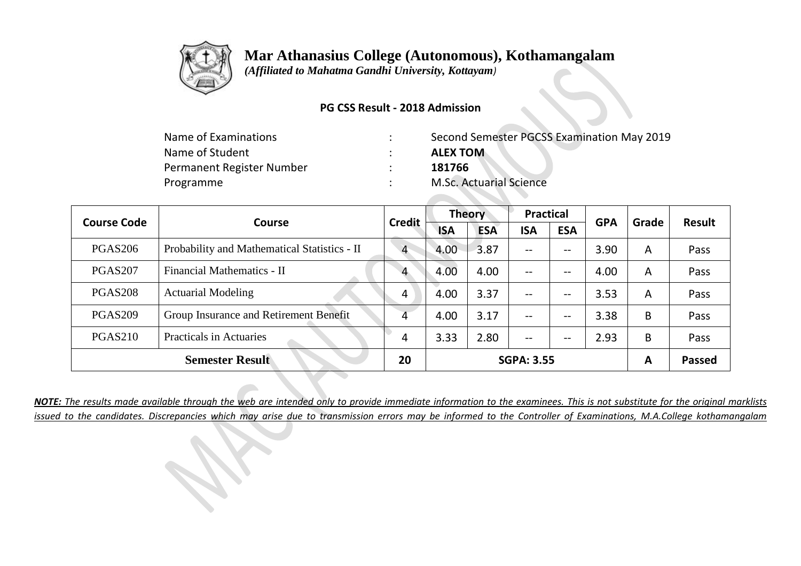

 *(Affiliated to Mahatma Gandhi University, Kottayam)*

### **PG CSS Result - 2018 Admission**

| Name of Examinations      | Second Semester PGCSS Examination May 2019 |
|---------------------------|--------------------------------------------|
| Name of Student           | <b>ALEX TOM</b>                            |
| Permanent Register Number | 181766                                     |
| Programme                 | <b>M.Sc. Actuarial Science</b>             |

| <b>Course Code</b> | Course                                       | <b>Credit</b>  | <b>Theory</b> |            | <b>Practical</b>  |                          | <b>GPA</b> | Grade | Result        |
|--------------------|----------------------------------------------|----------------|---------------|------------|-------------------|--------------------------|------------|-------|---------------|
|                    |                                              |                | <b>ISA</b>    | <b>ESA</b> | <b>ISA</b>        | <b>ESA</b>               |            |       |               |
| <b>PGAS206</b>     | Probability and Mathematical Statistics - II | $\overline{4}$ | 4.00          | 3.87       | $- -$             | $-\!$ $\!-$              | 3.90       | A     | Pass          |
| PGAS207            | Financial Mathematics - II                   | $\overline{4}$ | 4.00          | 4.00       | --                | $-\!$ $\!-$              | 4.00       | A     | Pass          |
| <b>PGAS208</b>     | <b>Actuarial Modeling</b>                    | 4              | 4.00          | 3.37       | --                | $\overline{\phantom{m}}$ | 3.53       | A     | Pass          |
| <b>PGAS209</b>     | Group Insurance and Retirement Benefit       | 4              | 4.00          | 3.17       | --                | $-\!$ $\!-$              | 3.38       | B     | Pass          |
| <b>PGAS210</b>     | <b>Practicals in Actuaries</b>               | 4              | 3.33          | 2.80       | $- -$             | $\overline{\phantom{m}}$ | 2.93       | B     | Pass          |
|                    | <b>Semester Result</b>                       | 20             |               |            | <b>SGPA: 3.55</b> |                          |            | A     | <b>Passed</b> |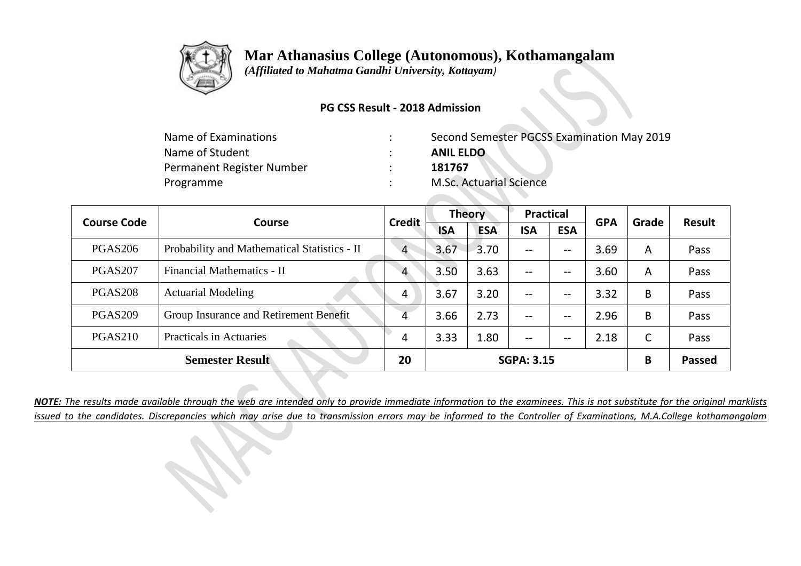

 *(Affiliated to Mahatma Gandhi University, Kottayam)*

### **PG CSS Result - 2018 Admission**

| Name of Examinations      | Second Semester PGCSS Examination May 2019 |
|---------------------------|--------------------------------------------|
| Name of Student           | <b>ANIL ELDO</b>                           |
| Permanent Register Number | 181767                                     |
| Programme                 | <b>M.Sc. Actuarial Science</b>             |

| <b>Course Code</b> | Course                                       | <b>Credit</b>  | <b>Theory</b> |            | <b>Practical</b>  |                          | <b>GPA</b> | Grade | Result        |
|--------------------|----------------------------------------------|----------------|---------------|------------|-------------------|--------------------------|------------|-------|---------------|
|                    |                                              |                | <b>ISA</b>    | <b>ESA</b> | <b>ISA</b>        | <b>ESA</b>               |            |       |               |
| <b>PGAS206</b>     | Probability and Mathematical Statistics - II | $\overline{4}$ | 3.67          | 3.70       | $- -$             | --                       | 3.69       | A     | Pass          |
| PGAS207            | Financial Mathematics - II                   | $\overline{4}$ | 3.50          | 3.63       | --                | $-\!$ $\!-$              | 3.60       | A     | Pass          |
| <b>PGAS208</b>     | <b>Actuarial Modeling</b>                    | 4              | 3.67          | 3.20       | --                | $\overline{\phantom{m}}$ | 3.32       | B     | Pass          |
| <b>PGAS209</b>     | Group Insurance and Retirement Benefit       | 4              | 3.66          | 2.73       | --                | $-\!$ $\!-$              | 2.96       | B     | Pass          |
| <b>PGAS210</b>     | <b>Practicals in Actuaries</b>               | 4              | 3.33          | 1.80       | $- -$             | --                       | 2.18       | C     | Pass          |
|                    | <b>Semester Result</b>                       | 20             |               |            | <b>SGPA: 3.15</b> |                          |            | B     | <b>Passed</b> |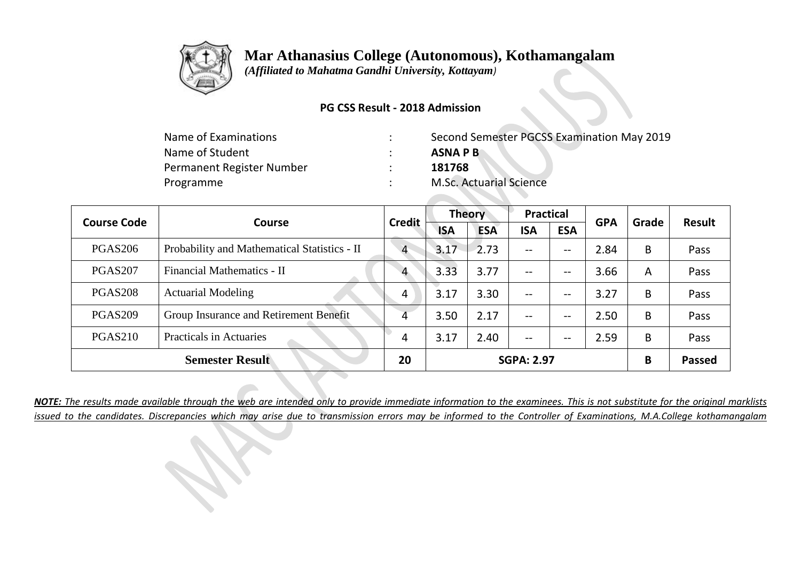

 *(Affiliated to Mahatma Gandhi University, Kottayam)*

### **PG CSS Result - 2018 Admission**

| Name of Examinations      | Second Semester PGCSS Examination May 2019 |
|---------------------------|--------------------------------------------|
| Name of Student           | <b>ASNAPB</b>                              |
| Permanent Register Number | 181768                                     |
| Programme                 | <b>M.Sc. Actuarial Science</b>             |

| <b>Course Code</b> | Course                                       | <b>Credit</b>  | <b>Theory</b> |            | <b>Practical</b>         |                          | <b>GPA</b> | Grade | <b>Result</b> |
|--------------------|----------------------------------------------|----------------|---------------|------------|--------------------------|--------------------------|------------|-------|---------------|
|                    |                                              |                | <b>ISA</b>    | <b>ESA</b> | <b>ISA</b>               | <b>ESA</b>               |            |       |               |
| <b>PGAS206</b>     | Probability and Mathematical Statistics - II | $\overline{4}$ | 3.17          | $-2.73$    | $- -$                    | $-\!$ $\!-$              | 2.84       | B     | Pass          |
| <b>PGAS207</b>     | Financial Mathematics - II                   | $\overline{4}$ | 3.33          | 3.77       | $\overline{\phantom{m}}$ | $-\!$ $\!-$              | 3.66       | A     | Pass          |
| <b>PGAS208</b>     | <b>Actuarial Modeling</b>                    | 4              | 3.17          | 3.30       | $- -$                    | $\overline{\phantom{m}}$ | 3.27       | B     | Pass          |
| <b>PGAS209</b>     | Group Insurance and Retirement Benefit       | 4              | 3.50          | 2.17       | $\overline{\phantom{m}}$ | $-\!$ $\!-$              | 2.50       | B     | Pass          |
| <b>PGAS210</b>     | <b>Practicals in Actuaries</b>               | 4              | 3.17          | 2.40       | $\overline{\phantom{m}}$ | $- -$                    | 2.59       | B     | Pass          |
|                    | <b>Semester Result</b>                       | 20             |               |            | <b>SGPA: 2.97</b>        |                          |            | B     | <b>Passed</b> |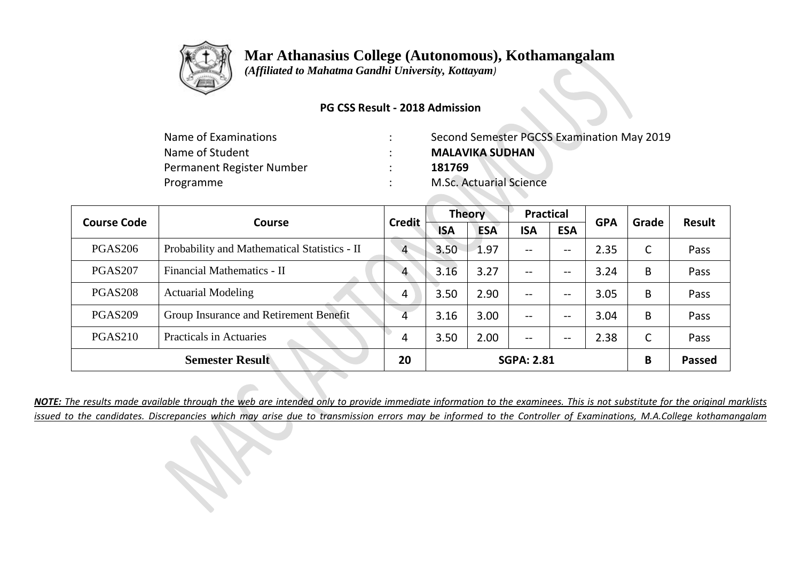

 *(Affiliated to Mahatma Gandhi University, Kottayam)*

### **PG CSS Result - 2018 Admission**

| Name of Examinations      | Second Semester PGCSS Examination May 2019 |
|---------------------------|--------------------------------------------|
| Name of Student           | <b>MALAVIKA SUDHAN</b>                     |
| Permanent Register Number | 181769                                     |
| Programme                 | <b>M.Sc. Actuarial Science</b>             |

| <b>Course Code</b> | Course                                       | <b>Credit</b>  | <b>Theory</b> |            | <b>Practical</b>         |                   | <b>GPA</b> | Grade        | Result |
|--------------------|----------------------------------------------|----------------|---------------|------------|--------------------------|-------------------|------------|--------------|--------|
|                    |                                              |                | <b>ISA</b>    | <b>ESA</b> | <b>ISA</b>               | <b>ESA</b>        |            |              |        |
| <b>PGAS206</b>     | Probability and Mathematical Statistics - II | $\overline{4}$ | 3.50          | 1.97       | $- -$                    | $- -$             | 2.35       | $\mathsf{C}$ | Pass   |
| <b>PGAS207</b>     | Financial Mathematics - II                   | 4              | 3.16          | 3.27       | --                       | $- -$             | 3.24       | B            | Pass   |
| <b>PGAS208</b>     | <b>Actuarial Modeling</b>                    | 4              | 3.50          | 2.90       | --                       | --                | 3.05       | B            | Pass   |
| <b>PGAS209</b>     | Group Insurance and Retirement Benefit       |                | 3.16          | 3.00       | $\overline{\phantom{m}}$ | $\qquad \qquad -$ | 3.04       | B            | Pass   |
| <b>PGAS210</b>     | <b>Practicals in Actuaries</b>               | 4              | 3.50          | 2.00       | $- -$                    | $- -$             | 2.38       | $\sqrt{ }$   | Pass   |
|                    | <b>Semester Result</b>                       | 20             |               |            | <b>SGPA: 2.81</b>        |                   |            | B            | Passed |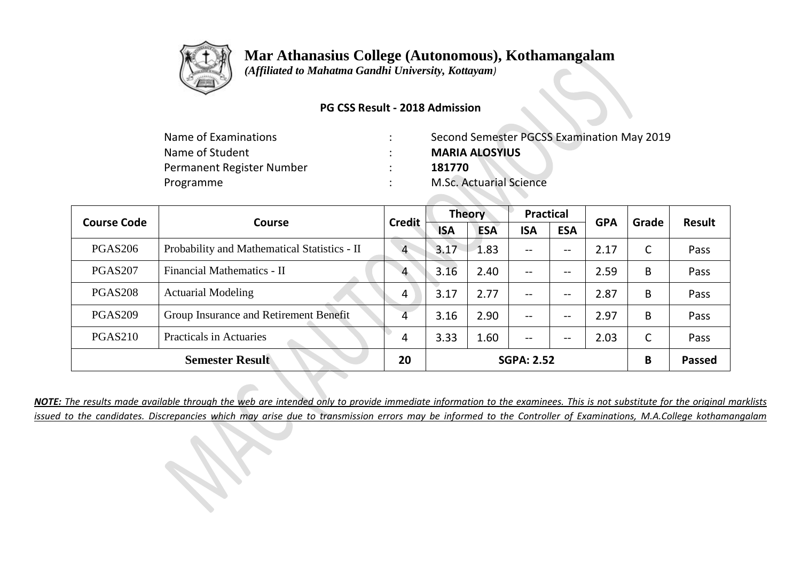

 *(Affiliated to Mahatma Gandhi University, Kottayam)*

#### **PG CSS Result - 2018 Admission**

| Name of Examinations      | Second Semester PGCSS Examination May 2019 |
|---------------------------|--------------------------------------------|
| Name of Student           | <b>MARIA ALOSYIUS</b>                      |
| Permanent Register Number | 181770                                     |
| Programme                 | <b>M.Sc. Actuarial Science</b>             |

| <b>Course Code</b> | Course                                       | <b>Credit</b>  | <b>Theory</b> |            | <b>Practical</b>  |                          | <b>GPA</b> | Grade | <b>Result</b> |
|--------------------|----------------------------------------------|----------------|---------------|------------|-------------------|--------------------------|------------|-------|---------------|
|                    |                                              |                | <b>ISA</b>    | <b>ESA</b> | <b>ISA</b>        | <b>ESA</b>               |            |       |               |
| <b>PGAS206</b>     | Probability and Mathematical Statistics - II | $\overline{4}$ | 3.17          | 1.83       | --                | $\hspace{0.05cm} \ldots$ | 2.17       | C     | Pass          |
| <b>PGAS207</b>     | Financial Mathematics - II                   | $\overline{4}$ | 3.16          | 2.40       | --                | $--$                     | 2.59       | B     | Pass          |
| <b>PGAS208</b>     | <b>Actuarial Modeling</b>                    | 4              | 3.17          | 2.77       | --                | $--$                     | 2.87       | B     | Pass          |
| <b>PGAS209</b>     | Group Insurance and Retirement Benefit       | 4              | 3.16          | 2.90       | --                | $\overline{\phantom{m}}$ | 2.97       | B     | Pass          |
| <b>PGAS210</b>     | <b>Practicals in Actuaries</b>               | 4              | 3.33          | 1.60       | --                | $--$                     | 2.03       | C     | Pass          |
|                    | <b>Semester Result</b>                       | 20             |               |            | <b>SGPA: 2.52</b> |                          |            | B     | <b>Passed</b> |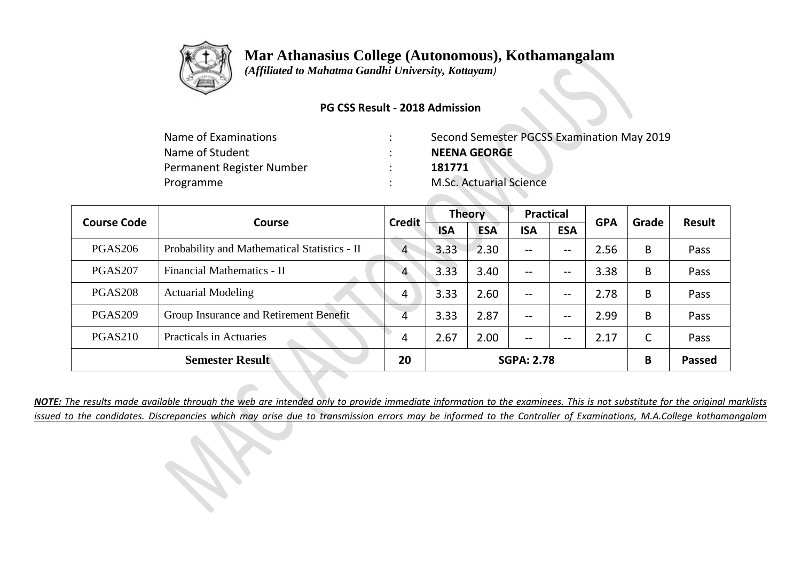

 *(Affiliated to Mahatma Gandhi University, Kottayam)*

### **PG CSS Result - 2018 Admission**

| Name of Examinations      | Second Semester PGCSS Examination May 2019 |
|---------------------------|--------------------------------------------|
| Name of Student           | <b>NEENA GEORGE</b>                        |
| Permanent Register Number | 181771                                     |
| Programme                 | <b>M.Sc. Actuarial Science</b>             |

| <b>Course Code</b> | <b>Course</b>                                | <b>Credit</b>  | <b>Theory</b> |            | <b>Practical</b>  |                               | <b>GPA</b> | Grade | <b>Result</b> |
|--------------------|----------------------------------------------|----------------|---------------|------------|-------------------|-------------------------------|------------|-------|---------------|
|                    |                                              |                | <b>ISA</b>    | <b>ESA</b> | <b>ISA</b>        | <b>ESA</b>                    |            |       |               |
| <b>PGAS206</b>     | Probability and Mathematical Statistics - II | $\overline{4}$ | 3.33          | $-2.30$    | $- -$             | $- -$                         | 2.56       | B     | Pass          |
| PGAS207            | Financial Mathematics - II                   | $\overline{4}$ | 3.33          | 3.40       | --                | $- -$                         | 3.38       | B     | Pass          |
| <b>PGAS208</b>     | <b>Actuarial Modeling</b>                    | 4              | 3.33          | 2.60       | --                | $- -$                         | 2.78       | B     | Pass          |
| <b>PGAS209</b>     | Group Insurance and Retirement Benefit       | 4              | 3.33          | 2.87       | --                | $\hspace{0.05cm} \textbf{--}$ | 2.99       | B     | Pass          |
| <b>PGAS210</b>     | <b>Practicals in Actuaries</b>               | 4              | 2.67          | 2.00       | --                | $- -$                         | 2.17       | C     | Pass          |
|                    | <b>Semester Result</b>                       | 20             |               |            | <b>SGPA: 2.78</b> |                               |            | B     | <b>Passed</b> |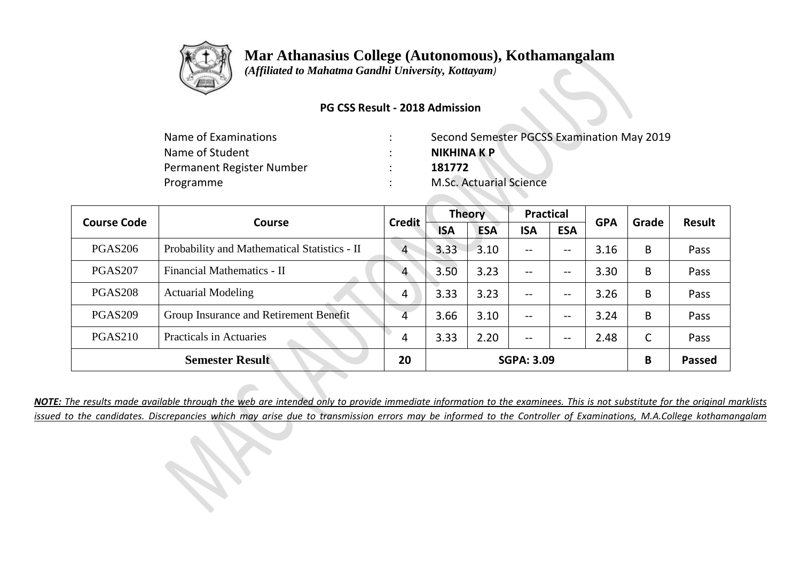

 *(Affiliated to Mahatma Gandhi University, Kottayam)*

### **PG CSS Result - 2018 Admission**

| Name of Examinations      | Second Semester PGCSS Examination May 2019 |
|---------------------------|--------------------------------------------|
| Name of Student           | NIKHINA K P                                |
| Permanent Register Number | 181772                                     |
| Programme                 | <b>M.Sc. Actuarial Science</b>             |

| <b>Course Code</b>  | Course                                       | <b>Credit</b>  | <b>Theory</b> |            | <b>Practical</b>  |                          | <b>GPA</b> | Grade | Result        |
|---------------------|----------------------------------------------|----------------|---------------|------------|-------------------|--------------------------|------------|-------|---------------|
|                     |                                              |                | <b>ISA</b>    | <b>ESA</b> | <b>ISA</b>        | <b>ESA</b>               |            |       |               |
| <b>PGAS206</b>      | Probability and Mathematical Statistics - II | $\overline{4}$ | 3.33          | 3.10       | $- -$             | $\qquad \qquad -$        | 3.16       | B     | Pass          |
| PGAS <sub>207</sub> | Financial Mathematics - II                   | $\overline{4}$ | 3.50          | 3.23       | --                | $\qquad \qquad -$        | 3.30       | B     | Pass          |
| <b>PGAS208</b>      | <b>Actuarial Modeling</b>                    | 4              | 3.33          | 3.23       | --                | $\qquad \qquad -$        | 3.26       | B     | Pass          |
| <b>PGAS209</b>      | Group Insurance and Retirement Benefit       | 4              | 3.66          | 3.10       | --                | $- -$                    | 3.24       | B     | Pass          |
| <b>PGAS210</b>      | <b>Practicals in Actuaries</b>               | 4              | 3.33          | 2.20       | $- -$             | $\overline{\phantom{m}}$ | 2.48       | C     | Pass          |
|                     | <b>Semester Result</b>                       | 20             |               |            | <b>SGPA: 3.09</b> |                          |            | B     | <b>Passed</b> |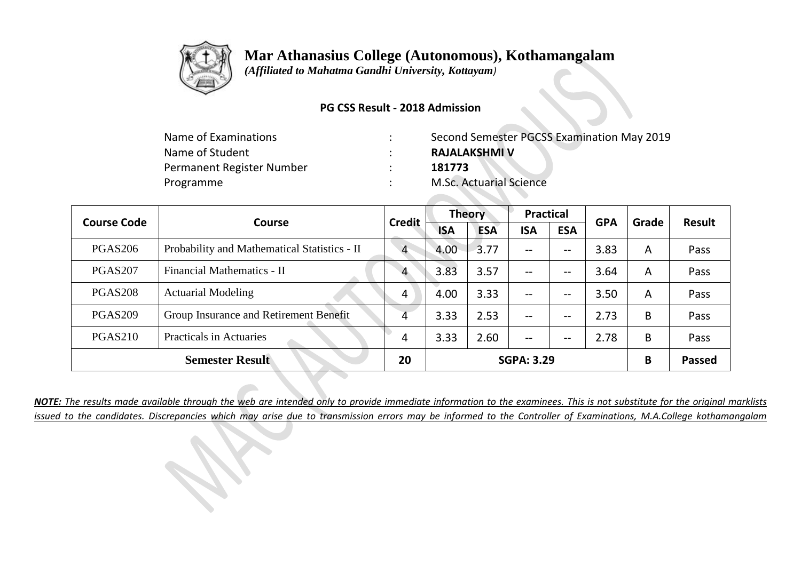

 *(Affiliated to Mahatma Gandhi University, Kottayam)*

#### **PG CSS Result - 2018 Admission**

| Name of Examinations      | Second Semester PGCSS Examination May 2019 |
|---------------------------|--------------------------------------------|
| Name of Student           | <b>RAJALAKSHMI V</b>                       |
| Permanent Register Number | 181773                                     |
| Programme                 | <b>M.Sc. Actuarial Science</b>             |

| <b>Course Code</b> | Course                                       | <b>Credit</b>  | <b>Theory</b> |            | <b>Practical</b>  |                               | <b>GPA</b> | Grade | <b>Result</b> |
|--------------------|----------------------------------------------|----------------|---------------|------------|-------------------|-------------------------------|------------|-------|---------------|
|                    |                                              |                | <b>ISA</b>    | <b>ESA</b> | <b>ISA</b>        | <b>ESA</b>                    |            |       |               |
| <b>PGAS206</b>     | Probability and Mathematical Statistics - II | $\overline{4}$ | 4.00          | 3.77       | --                | $--$                          | 3.83       | A     | Pass          |
| <b>PGAS207</b>     | Financial Mathematics - II                   | 4              | 3.83          | 3.57       | --                | $\overline{\phantom{a}}$      | 3.64       | A     | Pass          |
| <b>PGAS208</b>     | <b>Actuarial Modeling</b>                    | 4              | 4.00          | 3.33       | --                | $\overline{\phantom{m}}$      | 3.50       | A     | Pass          |
| <b>PGAS209</b>     | Group Insurance and Retirement Benefit       | 4              | 3.33          | 2.53       | --                | $\hspace{0.05cm} \textbf{--}$ | 2.73       | B     | Pass          |
| <b>PGAS210</b>     | <b>Practicals in Actuaries</b>               | 4              | 3.33          | 2.60       | --                | $- -$                         | 2.78       | B     | Pass          |
|                    | <b>Semester Result</b>                       | 20             |               |            | <b>SGPA: 3.29</b> |                               |            | B     | <b>Passed</b> |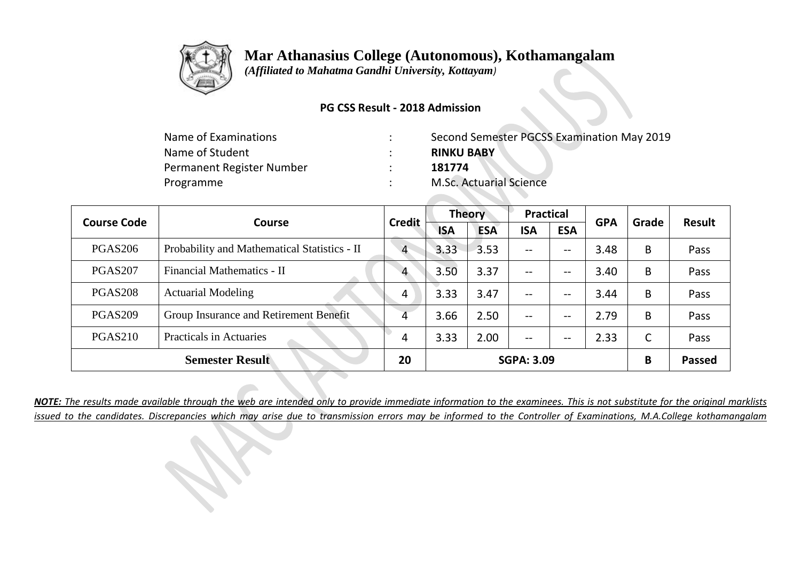

 *(Affiliated to Mahatma Gandhi University, Kottayam)*

### **PG CSS Result - 2018 Admission**

| Name of Examinations      | Second Semester PGCSS Examination May 2019 |
|---------------------------|--------------------------------------------|
| Name of Student           | <b>RINKU BABY</b>                          |
| Permanent Register Number | 181774                                     |
| Programme                 | <b>M.Sc. Actuarial Science</b>             |

| <b>Course Code</b>  | Course                                       | <b>Credit</b>  | <b>Theory</b> |            | <b>Practical</b>  |                          | <b>GPA</b> | Grade | <b>Result</b> |
|---------------------|----------------------------------------------|----------------|---------------|------------|-------------------|--------------------------|------------|-------|---------------|
|                     |                                              |                | <b>ISA</b>    | <b>ESA</b> | <b>ISA</b>        | <b>ESA</b>               |            |       |               |
| <b>PGAS206</b>      | Probability and Mathematical Statistics - II | $\overline{4}$ | 3.33          | 3.53       | $- -$             | $\overline{\phantom{m}}$ | 3.48       | B     | Pass          |
| PGAS <sub>207</sub> | Financial Mathematics - II                   | $\overline{4}$ | 3.50          | 3.37       | $- -$             | $\overline{\phantom{m}}$ | 3.40       | B     | Pass          |
| <b>PGAS208</b>      | <b>Actuarial Modeling</b>                    | 4              | 3.33          | 3.47       | $- -$             | $- -$                    | 3.44       | B     | Pass          |
| <b>PGAS209</b>      | Group Insurance and Retirement Benefit       | 4              | 3.66          | 2.50       | --                | $- -$                    | 2.79       | B     | Pass          |
| PGAS <sub>210</sub> | <b>Practicals in Actuaries</b>               | 4              | 3.33          | 2.00       | --                | --                       | 2.33       | C     | Pass          |
|                     | <b>Semester Result</b>                       | 20             |               |            | <b>SGPA: 3.09</b> |                          |            | B     | <b>Passed</b> |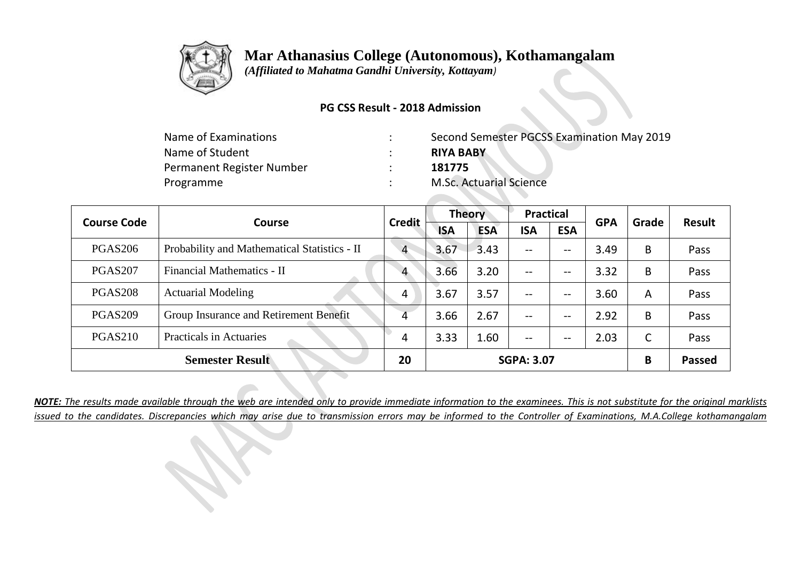

 *(Affiliated to Mahatma Gandhi University, Kottayam)*

### **PG CSS Result - 2018 Admission**

| Name of Examinations      | Second Semester PGCSS Examination May 2019 |
|---------------------------|--------------------------------------------|
| Name of Student           | <b>RIYA BABY</b>                           |
| Permanent Register Number | 181775                                     |
| Programme                 | <b>M.Sc. Actuarial Science</b>             |

| <b>Course Code</b> | <b>Course</b>                                | <b>Credit</b>  | <b>Theory</b> |            | <b>Practical</b>  |                                     | <b>GPA</b> | Grade | Result        |
|--------------------|----------------------------------------------|----------------|---------------|------------|-------------------|-------------------------------------|------------|-------|---------------|
|                    |                                              |                | <b>ISA</b>    | <b>ESA</b> | <b>ISA</b>        | <b>ESA</b>                          |            |       |               |
| <b>PGAS206</b>     | Probability and Mathematical Statistics - II | $\overline{4}$ | 3.67          | 3.43       | $- -$             | $--$                                | 3.49       | B     | Pass          |
| PGAS207            | Financial Mathematics - II                   | 4              | 3.66          | 3.20       | --                | --                                  | 3.32       | B     | Pass          |
| <b>PGAS208</b>     | <b>Actuarial Modeling</b>                    | 4              | 3.67          | 3.57       | --                | $\hspace{0.04in}$ $\hspace{0.04in}$ | 3.60       | A     | Pass          |
| <b>PGAS209</b>     | Group Insurance and Retirement Benefit       | 4              | 3.66          | 2.67       | --                | $\overline{\phantom{m}}$            | 2.92       | B     | Pass          |
| <b>PGAS210</b>     | <b>Practicals in Actuaries</b>               | 4              | 3.33          | 1.60       | --                | $\overline{\phantom{m}}$            | 2.03       | С     | Pass          |
|                    | <b>Semester Result</b>                       | 20             |               |            | <b>SGPA: 3.07</b> |                                     |            | B     | <b>Passed</b> |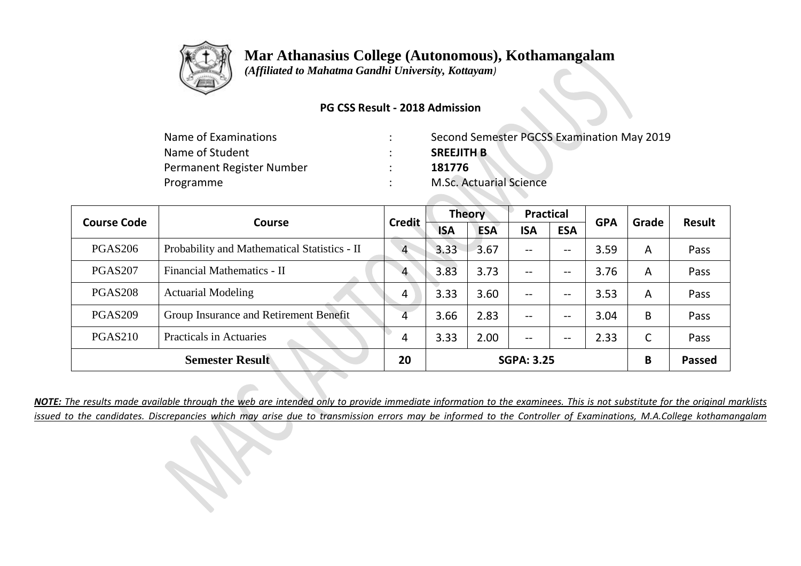

 *(Affiliated to Mahatma Gandhi University, Kottayam)*

### **PG CSS Result - 2018 Admission**

| Name of Examinations      | Second Semester PGCSS Examination May 2019 |
|---------------------------|--------------------------------------------|
| Name of Student           | <b>SREEJITH B</b>                          |
| Permanent Register Number | 181776                                     |
| Programme                 | <b>M.Sc. Actuarial Science</b>             |

| <b>Course Code</b>  | Course                                       | <b>Credit</b>  | <b>Theory</b> |            | <b>Practical</b>  |                          | <b>GPA</b> | Grade | <b>Result</b> |
|---------------------|----------------------------------------------|----------------|---------------|------------|-------------------|--------------------------|------------|-------|---------------|
|                     |                                              |                | <b>ISA</b>    | <b>ESA</b> | <b>ISA</b>        | <b>ESA</b>               |            |       |               |
| <b>PGAS206</b>      | Probability and Mathematical Statistics - II | $\overline{4}$ | 3.33          | 3.67       | $- -$             | $\qquad \qquad -$        | 3.59       | A     | Pass          |
| PGAS <sub>207</sub> | Financial Mathematics - II                   | $\overline{4}$ | 3.83          | 3.73       | $\qquad \qquad -$ | $\qquad \qquad -$        | 3.76       | A     | Pass          |
| <b>PGAS208</b>      | <b>Actuarial Modeling</b>                    | 4              | 3.33          | 3.60       | $\qquad \qquad -$ | $\qquad \qquad -$        | 3.53       | A     | Pass          |
| <b>PGAS209</b>      | Group Insurance and Retirement Benefit       | 4              | 3.66          | 2.83       | $\qquad \qquad -$ | $\qquad \qquad -$        | 3.04       | B     | Pass          |
| <b>PGAS210</b>      | <b>Practicals in Actuaries</b>               | 4              | 3.33          | 2.00       | $\qquad \qquad -$ | $\overline{\phantom{m}}$ | 2.33       | C     | Pass          |
|                     | <b>Semester Result</b>                       | 20             |               |            | <b>SGPA: 3.25</b> |                          |            | B     | <b>Passed</b> |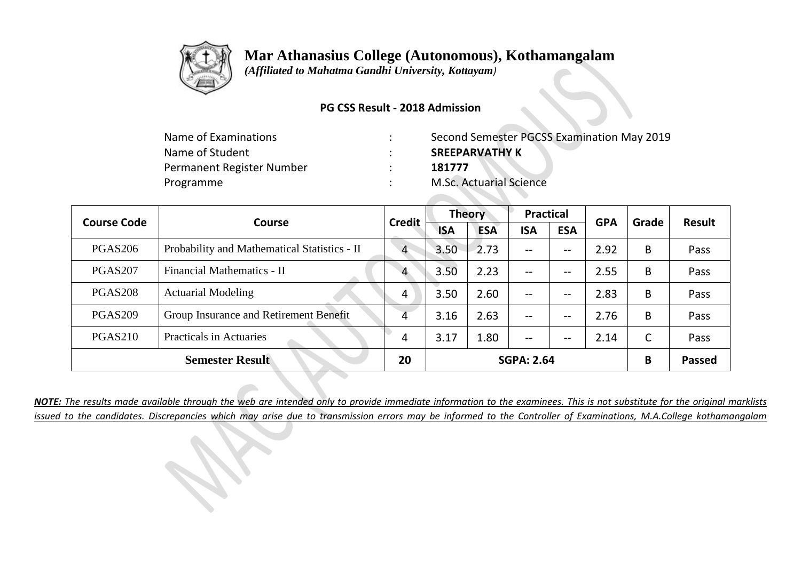

 *(Affiliated to Mahatma Gandhi University, Kottayam)*

### **PG CSS Result - 2018 Admission**

| Name of Examinations      | Second Semester PGCSS Examination May 2019 |
|---------------------------|--------------------------------------------|
| Name of Student           | <b>SREEPARVATHY K</b>                      |
| Permanent Register Number | 181777                                     |
| Programme                 | <b>M.Sc. Actuarial Science</b>             |

| <b>Course Code</b>     | Course                                       | <b>Credit</b>  | <b>Theory</b>     |            | <b>Practical</b> |                               | <b>GPA</b> | Grade | <b>Result</b> |
|------------------------|----------------------------------------------|----------------|-------------------|------------|------------------|-------------------------------|------------|-------|---------------|
|                        |                                              |                | <b>ISA</b>        | <b>ESA</b> | <b>ISA</b>       | <b>ESA</b>                    |            |       |               |
| <b>PGAS206</b>         | Probability and Mathematical Statistics - II | $\overline{4}$ | 3.50              | 2.73       | $- -$            | $--$                          | 2.92       | B     | Pass          |
| PGAS <sub>207</sub>    | Financial Mathematics - II                   | $\overline{4}$ | 3.50              | 2.23       | --               | $\overline{\phantom{a}}$      | 2.55       | B     | Pass          |
| <b>PGAS208</b>         | <b>Actuarial Modeling</b>                    | 4              | 3.50              | 2.60       | --               | $--$                          | 2.83       | B     | Pass          |
| <b>PGAS209</b>         | Group Insurance and Retirement Benefit       | 4              | 3.16              | 2.63       | $- -$            | $\hspace{0.05cm} \textbf{--}$ | 2.76       | B     | Pass          |
| <b>PGAS210</b>         | <b>Practicals in Actuaries</b>               | 4              | 3.17              | 1.80       | --               | $- -$                         | 2.14       | C     | Pass          |
| <b>Semester Result</b> |                                              | 20             | <b>SGPA: 2.64</b> |            |                  |                               |            | B     | <b>Passed</b> |